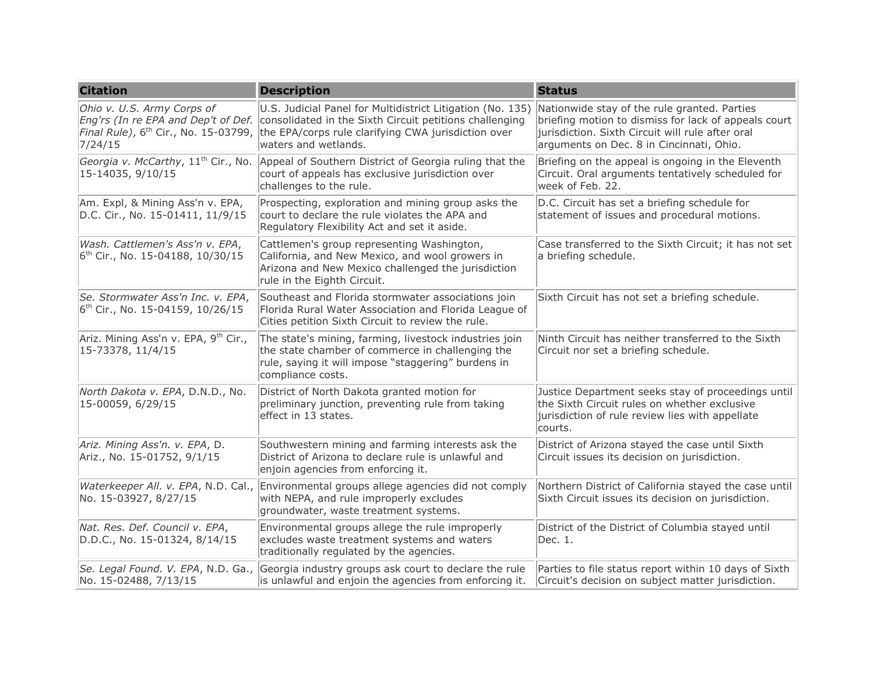| <b>Citation</b>                                                                   | <b>Description</b>                                                                                                                                                                                                                                                                                | <b>Status</b>                                                                                                                                                                                        |
|-----------------------------------------------------------------------------------|---------------------------------------------------------------------------------------------------------------------------------------------------------------------------------------------------------------------------------------------------------------------------------------------------|------------------------------------------------------------------------------------------------------------------------------------------------------------------------------------------------------|
| Ohio v. U.S. Army Corps of<br>7/24/15                                             | U.S. Judicial Panel for Multidistrict Litigation (No. 135)<br>Eng'rs (In re EPA and Dep't of Def. consolidated in the Sixth Circuit petitions challenging<br><i>Final Rule)</i> , 6 <sup>th</sup> Cir., No. 15-03799, the EPA/corps rule clarifying CWA jurisdiction over<br>waters and wetlands. | Nationwide stay of the rule granted. Parties<br>briefing motion to dismiss for lack of appeals court<br>jurisdiction. Sixth Circuit will rule after oral<br>arguments on Dec. 8 in Cincinnati, Ohio. |
| Georgia v. McCarthy, 11 <sup>th</sup> Cir., No.<br>15-14035, 9/10/15              | Appeal of Southern District of Georgia ruling that the<br>court of appeals has exclusive jurisdiction over<br>challenges to the rule.                                                                                                                                                             | Briefing on the appeal is ongoing in the Eleventh<br>Circuit. Oral arguments tentatively scheduled for<br>week of Feb. 22.                                                                           |
| Am. Expl, & Mining Ass'n v. EPA,<br>D.C. Cir., No. 15-01411, 11/9/15              | Prospecting, exploration and mining group asks the<br>court to declare the rule violates the APA and<br>Regulatory Flexibility Act and set it aside.                                                                                                                                              | D.C. Circuit has set a briefing schedule for<br>statement of issues and procedural motions.                                                                                                          |
| Wash. Cattlemen's Ass'n v. EPA,<br>$ 6^{th}$ Cir., No. 15-04188, 10/30/15         | Cattlemen's group representing Washington,<br>California, and New Mexico, and wool growers in<br>Arizona and New Mexico challenged the jurisdiction<br>rule in the Eighth Circuit.                                                                                                                | Case transferred to the Sixth Circuit; it has not set<br>a briefing schedule.                                                                                                                        |
| Se. Stormwater Ass'n Inc. v. EPA,<br>6 <sup>th</sup> Cir., No. 15-04159, 10/26/15 | Southeast and Florida stormwater associations join<br>Florida Rural Water Association and Florida League of<br>Cities petition Sixth Circuit to review the rule.                                                                                                                                  | Sixth Circuit has not set a briefing schedule.                                                                                                                                                       |
| Ariz. Mining Ass'n v. EPA, 9 <sup>th</sup> Cir.,<br>$15 - 73378, 11/4/15$         | The state's mining, farming, livestock industries join<br>the state chamber of commerce in challenging the<br>rule, saying it will impose "staggering" burdens in<br>compliance costs.                                                                                                            | Ninth Circuit has neither transferred to the Sixth<br>Circuit nor set a briefing schedule.                                                                                                           |
| North Dakota v. EPA, D.N.D., No.<br>15-00059, 6/29/15                             | District of North Dakota granted motion for<br>preliminary junction, preventing rule from taking<br>effect in 13 states.                                                                                                                                                                          | Justice Department seeks stay of proceedings until<br>the Sixth Circuit rules on whether exclusive<br>jurisdiction of rule review lies with appellate<br>courts.                                     |
| Ariz. Mining Ass'n. v. EPA, D.<br>Ariz., No. 15-01752, 9/1/15                     | Southwestern mining and farming interests ask the<br>District of Arizona to declare rule is unlawful and<br>enjoin agencies from enforcing it.                                                                                                                                                    | District of Arizona stayed the case until Sixth<br>Circuit issues its decision on jurisdiction.                                                                                                      |
| No. 15-03927, 8/27/15                                                             | Waterkeeper All. v. EPA, N.D. Cal., Environmental groups allege agencies did not comply<br>with NEPA, and rule improperly excludes<br>groundwater, waste treatment systems.                                                                                                                       | Northern District of California stayed the case until<br>Sixth Circuit issues its decision on jurisdiction.                                                                                          |
| Nat. Res. Def. Council v. EPA,<br>D.D.C., No. 15-01324, 8/14/15                   | Environmental groups allege the rule improperly<br>excludes waste treatment systems and waters<br>traditionally regulated by the agencies.                                                                                                                                                        | District of the District of Columbia stayed until<br>Dec. 1.                                                                                                                                         |
| No. 15-02488, 7/13/15                                                             | Se. Legal Found. V. EPA, N.D. Ga., Georgia industry groups ask court to declare the rule<br>is unlawful and enjoin the agencies from enforcing it.                                                                                                                                                | Parties to file status report within 10 days of Sixth<br>Circuit's decision on subject matter jurisdiction.                                                                                          |